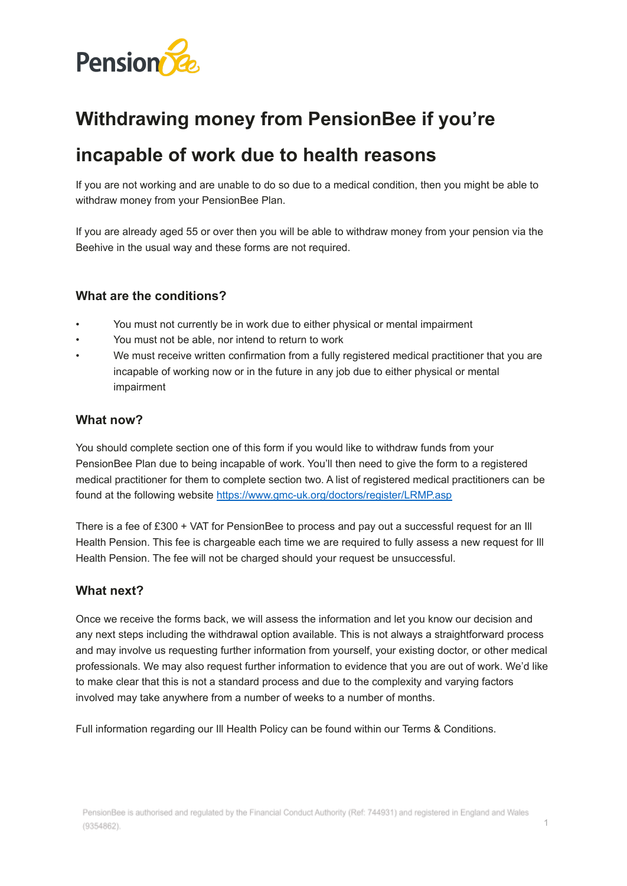

# **Withdrawing money from PensionBee if you're**

## **incapable of work due to health reasons**

If you are not working and are unable to do so due to a medical condition, then you might be able to withdraw money from your PensionBee Plan.

If you are already aged 55 or over then you will be able to withdraw money from your pension via the Beehive in the usual way and these forms are not required.

#### **What are the conditions?**

- You must not currently be in work due to either physical or mental impairment
- You must not be able, nor intend to return to work
- We must receive written confirmation from a fully registered medical practitioner that you are incapable of working now or in the future in any job due to either physical or mental impairment

#### **What now?**

You should complete section one of this form if you would like to withdraw funds from your PensionBee Plan due to being incapable of work. You'll then need to give the form to a registered medical practitioner for them to complete section two. A list of registered medical practitioners can be found at the following website <https://www.gmc-uk.org/doctors/register/LRMP.asp>

There is a fee of £300 + VAT for PensionBee to process and pay out a successful request for an Ill Health Pension. This fee is chargeable each time we are required to fully assess a new request for Ill Health Pension. The fee will not be charged should your request be unsuccessful.

#### **What next?**

Once we receive the forms back, we will assess the information and let you know our decision and any next steps including the withdrawal option available. This is not always a straightforward process and may involve us requesting further information from yourself, your existing doctor, or other medical professionals. We may also request further information to evidence that you are out of work. We'd like to make clear that this is not a standard process and due to the complexity and varying factors involved may take anywhere from a number of weeks to a number of months.

Full information regarding our Ill Health Policy can be found within our Terms & Conditions.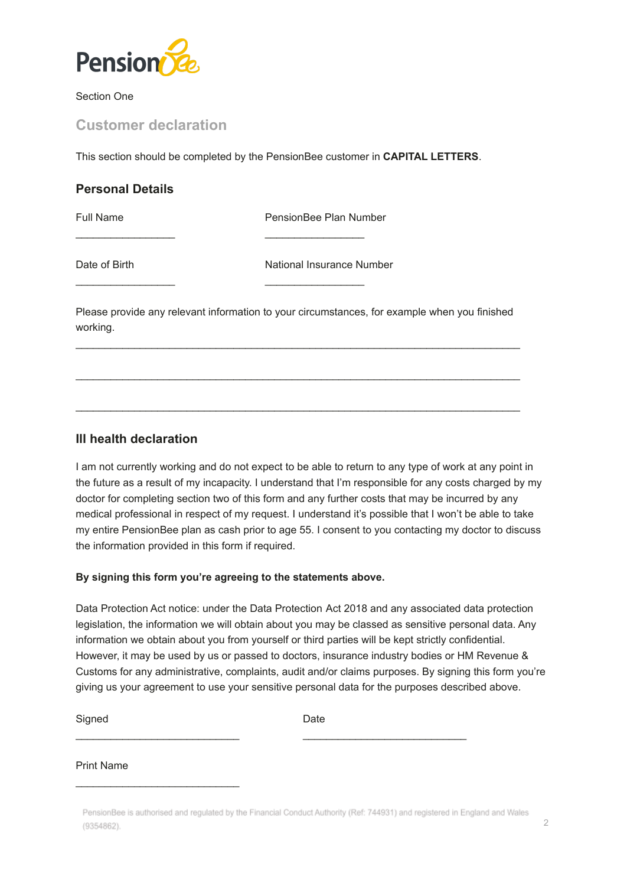

Section One

### **Customer declaration**

This section should be completed by the PensionBee customer in **CAPITAL LETTERS**.

| <b>Personal Details</b> |                           |
|-------------------------|---------------------------|
| <b>Full Name</b>        | PensionBee Plan Number    |
| Date of Birth           | National Insurance Number |

\_\_\_\_\_\_\_\_\_\_\_\_\_\_\_\_\_ \_\_\_\_\_\_\_\_\_\_\_\_\_\_\_\_\_

Please provide any relevant information to your circumstances, for example when you finished working.

 $\mathcal{L}_\text{max}$  , and the set of the set of the set of the set of the set of the set of the set of the set of the set of the set of the set of the set of the set of the set of the set of the set of the set of the set of the

 $\mathcal{L}_\text{max}$  , and the set of the set of the set of the set of the set of the set of the set of the set of the set of the set of the set of the set of the set of the set of the set of the set of the set of the set of the

 $\mathcal{L}_\text{max}$  , and the set of the set of the set of the set of the set of the set of the set of the set of the set of the set of the set of the set of the set of the set of the set of the set of the set of the set of the

#### **Ill health declaration**

I am not currently working and do not expect to be able to return to any type of work at any point in the future as a result of my incapacity. I understand that I'm responsible for any costs charged by my doctor for completing section two of this form and any further costs that may be incurred by any medical professional in respect of my request. I understand it's possible that I won't be able to take my entire PensionBee plan as cash prior to age 55. I consent to you contacting my doctor to discuss the information provided in this form if required.

#### **By signing this form you're agreeing to the statements above.**

Data Protection Act notice: under the Data Protection Act 2018 and any associated data protection legislation, the information we will obtain about you may be classed as sensitive personal data. Any information we obtain about you from yourself or third parties will be kept strictly confidential. However, it may be used by us or passed to doctors, insurance industry bodies or HM Revenue & Customs for any administrative, complaints, audit and/or claims purposes. By signing this form you're giving us your agreement to use your sensitive personal data for the purposes described above.

Signed Date

 $\_$  , and the state of the state of the state of the state of the state of the state of the state of the state of the state of the state of the state of the state of the state of the state of the state of the state of the

#### Print Name

 $\mathcal{L}_\text{max}$  , and the set of the set of the set of the set of the set of the set of the set of the set of the set of the set of the set of the set of the set of the set of the set of the set of the set of the set of the

PensionBee is authorised and regulated by the Financial Conduct Authority (Ref: 744931) and registered in England and Wales  $(9354862)$ .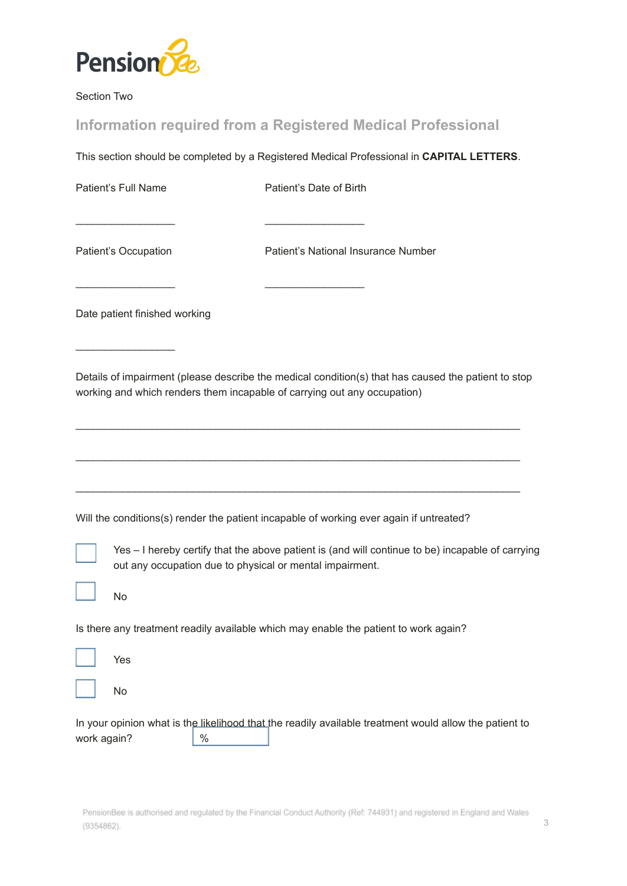

Section Two

## **Information required from a Registered Medical Professional**

 $\overline{\phantom{a}}$  , and the contract of the contract of the contract of the contract of the contract of the contract of the contract of the contract of the contract of the contract of the contract of the contract of the contrac

\_\_\_\_\_\_\_\_\_\_\_\_\_\_\_\_\_ \_\_\_\_\_\_\_\_\_\_\_\_\_\_\_\_\_

This section should be completed by a Registered Medical Professional in **CAPITAL LETTERS**.

Patient's Full Name Patient's Date of Birth

 $\frac{1}{2}$  ,  $\frac{1}{2}$  ,  $\frac{1}{2}$  ,  $\frac{1}{2}$  ,  $\frac{1}{2}$  ,  $\frac{1}{2}$  ,  $\frac{1}{2}$  ,  $\frac{1}{2}$  ,  $\frac{1}{2}$  ,  $\frac{1}{2}$ 

Patient's Occupation Patient's National Insurance Number

Date patient finished working

Details of impairment (please describe the medical condition(s) that has caused the patient to stop working and which renders them incapable of carrying out any occupation)

 $\mathcal{L}_\text{max}$  , and the set of the set of the set of the set of the set of the set of the set of the set of the set of the set of the set of the set of the set of the set of the set of the set of the set of the set of the

 $\mathcal{L}_\text{max}$  , and the set of the set of the set of the set of the set of the set of the set of the set of the set of the set of the set of the set of the set of the set of the set of the set of the set of the set of the

 $\mathcal{L}_\text{max}$  , and the set of the set of the set of the set of the set of the set of the set of the set of the set of the set of the set of the set of the set of the set of the set of the set of the set of the set of the

Will the conditions(s) render the patient incapable of working ever again if untreated?



Yes – I hereby certify that the above patient is (and will continue to be) incapable of carrying out any occupation due to physical or mental impairment.

No

Is there any treatment readily available which may enable the patient to work again?

No

In your opinion what is the likelihood that the readily available treatment would allow the patient to work again?  $\frac{1}{8}$